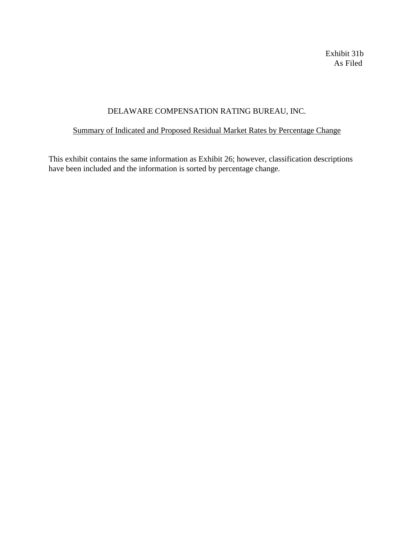Exhibit 31b As Filed

# DELAWARE COMPENSATION RATING BUREAU, INC.

## Summary of Indicated and Proposed Residual Market Rates by Percentage Change

This exhibit contains the same information as Exhibit 26; however, classification descriptions have been included and the information is sorted by percentage change.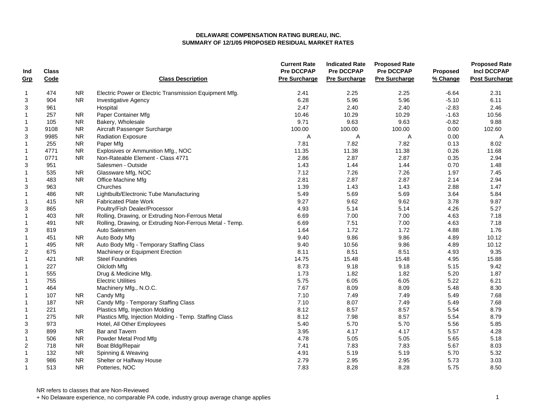| Ind<br>Grp                | Class<br>Code |           | <b>Class Description</b>                                 | <b>Current Rate</b><br><b>Pre DCCPAP</b><br><b>Pre Surcharge</b> | <b>Indicated Rate</b><br>Pre DCCPAP<br><b>Pre Surcharge</b> | <b>Proposed Rate</b><br>Pre DCCPAP<br><b>Pre Surcharge</b> | Proposed<br>% Change | <b>Proposed Rate</b><br><b>Incl DCCPAP</b><br><b>Post Surcharge</b> |
|---------------------------|---------------|-----------|----------------------------------------------------------|------------------------------------------------------------------|-------------------------------------------------------------|------------------------------------------------------------|----------------------|---------------------------------------------------------------------|
|                           |               |           |                                                          |                                                                  |                                                             |                                                            |                      |                                                                     |
| $\mathbf{1}$              | 474           | <b>NR</b> | Electric Power or Electric Transmission Equipment Mfg.   | 2.41                                                             | 2.25                                                        | 2.25                                                       | $-6.64$              | 2.31                                                                |
| 3                         | 904           | <b>NR</b> | <b>Investigative Agency</b>                              | 6.28                                                             | 5.96                                                        | 5.96                                                       | $-5.10$              | 6.11                                                                |
| 3                         | 961           |           | Hospital                                                 | 2.47                                                             | 2.40                                                        | 2.40                                                       | $-2.83$              | 2.46                                                                |
| $\mathbf{1}$              | 257           | <b>NR</b> | Paper Container Mfg                                      | 10.46                                                            | 10.29                                                       | 10.29                                                      | $-1.63$              | 10.56                                                               |
| $\mathbf{1}$              | 105           | <b>NR</b> | Bakery, Wholesale                                        | 9.71                                                             | 9.63                                                        | 9.63                                                       | $-0.82$              | 9.88                                                                |
| 3                         | 9108          | <b>NR</b> | Aircraft Passenger Surcharge                             | 100.00                                                           | 100.00                                                      | 100.00                                                     | 0.00                 | 102.60                                                              |
| $\ensuremath{\mathsf{3}}$ | 9985          | <b>NR</b> | Radiation Exposure                                       | Α                                                                | Α                                                           | Α                                                          | 0.00                 | Α                                                                   |
| $\mathbf{1}$              | 255           | <b>NR</b> | Paper Mfg                                                | 7.81                                                             | 7.82                                                        | 7.82                                                       | 0.13                 | 8.02                                                                |
| $\mathbf{1}$              | 4771          | <b>NR</b> | Explosives or Ammunition Mfg., NOC                       | 11.35                                                            | 11.38                                                       | 11.38                                                      | 0.26                 | 11.68                                                               |
| $\mathbf{1}$              | 0771          | <b>NR</b> | Non-Rateable Element - Class 4771                        | 2.86                                                             | 2.87                                                        | 2.87                                                       | 0.35                 | 2.94                                                                |
| 3                         | 951           |           | Salesmen - Outside                                       | 1.43                                                             | 1.44                                                        | 1.44                                                       | 0.70                 | 1.48                                                                |
| $\mathbf{1}$              | 535           | <b>NR</b> | Glassware Mfg, NOC                                       | 7.12                                                             | 7.26                                                        | 7.26                                                       | 1.97                 | 7.45                                                                |
| $\mathbf{1}$              | 483           | <b>NR</b> | Office Machine Mfg                                       | 2.81                                                             | 2.87                                                        | 2.87                                                       | 2.14                 | 2.94                                                                |
| 3                         | 963           |           | Churches                                                 | 1.39                                                             | 1.43                                                        | 1.43                                                       | 2.88                 | 1.47                                                                |
| $\mathbf{1}$              | 486           | <b>NR</b> | Lightbulb/Electronic Tube Manufacturing                  | 5.49                                                             | 5.69                                                        | 5.69                                                       | 3.64                 | 5.84                                                                |
| $\mathbf{1}$              | 415           | <b>NR</b> | <b>Fabricated Plate Work</b>                             | 9.27                                                             | 9.62                                                        | 9.62                                                       | 3.78                 | 9.87                                                                |
| 3                         | 865           |           | Poultry/Fish Dealer/Processor                            | 4.93                                                             | 5.14                                                        | 5.14                                                       | 4.26                 | 5.27                                                                |
| $\mathbf{1}$              | 403           | <b>NR</b> | Rolling, Drawing, or Extruding Non-Ferrous Metal         | 6.69                                                             | 7.00                                                        | 7.00                                                       | 4.63                 | 7.18                                                                |
| $\mathbf{1}$              | 491           | <b>NR</b> | Rolling, Drawing, or Extruding Non-Ferrous Metal - Temp. | 6.69                                                             | 7.51                                                        | 7.00                                                       | 4.63                 | 7.18                                                                |
| 3                         | 819           |           | Auto Salesmen                                            | 1.64                                                             | 1.72                                                        | 1.72                                                       | 4.88                 | 1.76                                                                |
| $\mathbf{1}$              | 451           | NR.       | Auto Body Mfg                                            | 9.40                                                             | 9.86                                                        | 9.86                                                       | 4.89                 | 10.12                                                               |
| $\mathbf 1$               | 495           | <b>NR</b> | Auto Body Mfg - Temporary Staffing Class                 | 9.40                                                             | 10.56                                                       | 9.86                                                       | 4.89                 | 10.12                                                               |
| $\overline{2}$            | 675           |           | Machinery or Equipment Erection                          | 8.11                                                             | 8.51                                                        | 8.51                                                       | 4.93                 | 9.35                                                                |
| $\mathbf{1}$              | 421           | <b>NR</b> | <b>Steel Foundries</b>                                   | 14.75                                                            | 15.48                                                       | 15.48                                                      | 4.95                 | 15.88                                                               |
| $\mathbf{1}$              | 227           |           | Oilcloth Mfg                                             | 8.73                                                             | 9.18                                                        | 9.18                                                       | 5.15                 | 9.42                                                                |
| $\mathbf{1}$              | 555           |           | Drug & Medicine Mfg.                                     | 1.73                                                             | 1.82                                                        | 1.82                                                       | 5.20                 | 1.87                                                                |
| $\mathbf 1$               | 755           |           | <b>Electric Utilities</b>                                | 5.75                                                             | 6.05                                                        | 6.05                                                       | 5.22                 | 6.21                                                                |
| $\mathbf{1}$              | 464           |           | Machinery Mfg., N.O.C.                                   | 7.67                                                             | 8.09                                                        | 8.09                                                       | 5.48                 | 8.30                                                                |
| $\mathbf{1}$              | 107           | NR.       | Candy Mfg                                                | 7.10                                                             | 7.49                                                        | 7.49                                                       | 5.49                 | 7.68                                                                |
| $\mathbf{1}$              | 187           | <b>NR</b> | Candy Mfg - Temporary Staffing Class                     | 7.10                                                             | 8.07                                                        | 7.49                                                       | 5.49                 | 7.68                                                                |
| $\mathbf{1}$              | 221           |           | Plastics Mfg, Injection Molding                          | 8.12                                                             | 8.57                                                        | 8.57                                                       | 5.54                 | 8.79                                                                |
| $\mathbf{1}$              | 275           | NR.       | Plastics Mfg, Injection Molding - Temp. Staffing Class   | 8.12                                                             | 7.98                                                        | 8.57                                                       | 5.54                 | 8.79                                                                |
| 3                         | 973           |           | Hotel, All Other Employees                               | 5.40                                                             | 5.70                                                        | 5.70                                                       | 5.56                 | 5.85                                                                |
| 3                         | 899           | <b>NR</b> | Bar and Tavern                                           | 3.95                                                             | 4.17                                                        | 4.17                                                       | 5.57                 | 4.28                                                                |
| $\mathbf{1}$              | 506           | <b>NR</b> | Powder Metal Prod Mfg                                    | 4.78                                                             | 5.05                                                        | 5.05                                                       | 5.65                 | 5.18                                                                |
| $\sqrt{2}$                | 718           | <b>NR</b> | Boat Bldg/Repair                                         | 7.41                                                             | 7.83                                                        | 7.83                                                       | 5.67                 | 8.03                                                                |
| $\mathbf{1}$              | 132           | <b>NR</b> | Spinning & Weaving                                       | 4.91                                                             | 5.19                                                        | 5.19                                                       | 5.70                 | 5.32                                                                |
| 3                         | 986           | <b>NR</b> | Shelter or Halfway House                                 | 2.79                                                             | 2.95                                                        | 2.95                                                       | 5.73                 | 3.03                                                                |
| $\overline{1}$            | 513           | <b>NR</b> | Potteries, NOC                                           | 7.83                                                             | 8.28                                                        | 8.28                                                       | 5.75                 | 8.50                                                                |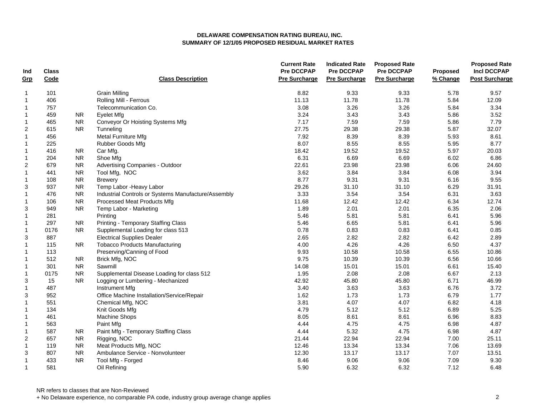| Ind            | <b>Class</b> |                |                                                     | <b>Current Rate</b><br><b>Pre DCCPAP</b> | <b>Indicated Rate</b><br><b>Pre DCCPAP</b> | <b>Proposed Rate</b><br><b>Pre DCCPAP</b> | Proposed | <b>Proposed Rate</b><br><b>Incl DCCPAP</b> |
|----------------|--------------|----------------|-----------------------------------------------------|------------------------------------------|--------------------------------------------|-------------------------------------------|----------|--------------------------------------------|
| Grp            | Code         |                | <b>Class Description</b>                            | <b>Pre Surcharge</b>                     | <b>Pre Surcharge</b>                       | <b>Pre Surcharge</b>                      | % Change | <b>Post Surcharge</b>                      |
| $\mathbf{1}$   | 101          |                | <b>Grain Milling</b>                                | 8.82                                     | 9.33                                       | 9.33                                      | 5.78     | 9.57                                       |
| $\mathbf{1}$   | 406          |                | Rolling Mill - Ferrous                              | 11.13                                    | 11.78                                      | 11.78                                     | 5.84     | 12.09                                      |
| $\mathbf{1}$   | 757          |                | Telecommunication Co.                               | 3.08                                     | 3.26                                       | 3.26                                      | 5.84     | 3.34                                       |
| $\mathbf{1}$   | 459          | <b>NR</b>      | <b>Evelet Mfg</b>                                   | 3.24                                     | 3.43                                       | 3.43                                      | 5.86     | 3.52                                       |
| $\mathbf{1}$   | 465          | <b>NR</b>      | <b>Conveyor Or Hoisting Systems Mfg</b>             | 7.17                                     | 7.59                                       | 7.59                                      | 5.86     | 7.79                                       |
| $\overline{2}$ | 615          | <b>NR</b>      | Tunneling                                           | 27.75                                    | 29.38                                      | 29.38                                     | 5.87     | 32.07                                      |
| $\mathbf{1}$   | 456          |                | Metal Furniture Mfg                                 | 7.92                                     | 8.39                                       | 8.39                                      | 5.93     | 8.61                                       |
| $\mathbf 1$    | 225          |                | Rubber Goods Mfg                                    | 8.07                                     | 8.55                                       | 8.55                                      | 5.95     | 8.77                                       |
| $\mathbf{1}$   | 416          | NR.            | Car Mfg.                                            | 18.42                                    | 19.52                                      | 19.52                                     | 5.97     | 20.03                                      |
| $\mathbf{1}$   | 204          | <b>NR</b>      | Shoe Mfg                                            | 6.31                                     | 6.69                                       | 6.69                                      | 6.02     | 6.86                                       |
| $\overline{2}$ | 679          | <b>NR</b>      | Advertising Companies - Outdoor                     | 22.61                                    | 23.98                                      | 23.98                                     | 6.06     | 24.60                                      |
| $\mathbf{1}$   | 441          | ${\sf NR}$     | Tool Mfg, NOC                                       | 3.62                                     | 3.84                                       | 3.84                                      | 6.08     | 3.94                                       |
| $\mathbf{1}$   | 108          | <b>NR</b>      | <b>Brewery</b>                                      | 8.77                                     | 9.31                                       | 9.31                                      | 6.16     | 9.55                                       |
| 3              | 937          | <b>NR</b>      | Temp Labor - Heavy Labor                            | 29.26                                    | 31.10                                      | 31.10                                     | 6.29     | 31.91                                      |
| $\mathbf{1}$   | 476          | <b>NR</b>      | Industrial Controls or Systems Manufacture/Assembly | 3.33                                     | 3.54                                       | 3.54                                      | 6.31     | 3.63                                       |
| $\mathbf{1}$   | 106          | <b>NR</b>      | Processed Meat Products Mfg                         | 11.68                                    | 12.42                                      | 12.42                                     | 6.34     | 12.74                                      |
| 3              | 949          | <b>NR</b>      | Temp Labor - Marketing                              | 1.89                                     | 2.01                                       | 2.01                                      | 6.35     | 2.06                                       |
| $\mathbf{1}$   | 281          |                | Printing                                            | 5.46                                     | 5.81                                       | 5.81                                      | 6.41     | 5.96                                       |
| $\mathbf{1}$   | 297          | <b>NR</b>      | Printing - Temporary Staffing Class                 | 5.46                                     | 6.65                                       | 5.81                                      | 6.41     | 5.96                                       |
| $\mathbf{1}$   | 0176         | <b>NR</b>      | Supplemental Loading for class 513                  | 0.78                                     | 0.83                                       | 0.83                                      | 6.41     | 0.85                                       |
| 3              | 887          |                | <b>Electrical Supplies Dealer</b>                   | 2.65                                     | 2.82                                       | 2.82                                      | 6.42     | 2.89                                       |
| $\mathbf{1}$   | 115          | <b>NR</b>      | <b>Tobacco Products Manufacturing</b>               | 4.00                                     | 4.26                                       | 4.26                                      | 6.50     | 4.37                                       |
| $\mathbf{1}$   | 113          |                | Preserving/Canning of Food                          | 9.93                                     | 10.58                                      | 10.58                                     | 6.55     | 10.86                                      |
| $\mathbf{1}$   | 512          | <b>NR</b>      | Brick Mfg, NOC                                      | 9.75                                     | 10.39                                      | 10.39                                     | 6.56     | 10.66                                      |
| $\mathbf 1$    | 301          | ${\sf NR}$     | Sawmill                                             | 14.08                                    | 15.01                                      | 15.01                                     | 6.61     | 15.40                                      |
| $\mathbf{1}$   | 0175         | <b>NR</b>      | Supplemental Disease Loading for class 512          | 1.95                                     | 2.08                                       | 2.08                                      | 6.67     | 2.13                                       |
| 3              | 15           | <b>NR</b>      | Logging or Lumbering - Mechanized                   | 42.92                                    | 45.80                                      | 45.80                                     | 6.71     | 46.99                                      |
| $\mathbf{1}$   | 487          |                | Instrument Mfg                                      | 3.40                                     | 3.63                                       | 3.63                                      | 6.76     | 3.72                                       |
| 3              | 952          |                | Office Machine Installation/Service/Repair          | 1.62                                     | 1.73                                       | 1.73                                      | 6.79     | 1.77                                       |
| $\mathbf{1}$   | 551          |                | Chemical Mfg, NOC                                   | 3.81                                     | 4.07                                       | 4.07                                      | 6.82     | 4.18                                       |
| $\mathbf{1}$   | 134          |                | Knit Goods Mfg                                      | 4.79                                     | 5.12                                       | 5.12                                      | 6.89     | 5.25                                       |
| $\mathbf{1}$   | 461          |                | Machine Shops                                       | 8.05                                     | 8.61                                       | 8.61                                      | 6.96     | 8.83                                       |
| $\mathbf{1}$   | 563          |                | Paint Mfg                                           | 4.44                                     | 4.75                                       | 4.75                                      | 6.98     | 4.87                                       |
| $\mathbf{1}$   | 587          | N <sub>R</sub> | Paint Mfg - Temporary Staffing Class                | 4.44                                     | 5.32                                       | 4.75                                      | 6.98     | 4.87                                       |
| $\sqrt{2}$     | 657          | ${\sf NR}$     | Rigging, NOC                                        | 21.44                                    | 22.94                                      | 22.94                                     | 7.00     | 25.11                                      |
| $\mathbf{1}$   | 119          | <b>NR</b>      | Meat Products Mfg, NOC                              | 12.46                                    | 13.34                                      | 13.34                                     | 7.06     | 13.69                                      |
| 3              | 807          | <b>NR</b>      | Ambulance Service - Nonvolunteer                    | 12.30                                    | 13.17                                      | 13.17                                     | 7.07     | 13.51                                      |
| $\mathbf{1}$   | 433          | <b>NR</b>      | Tool Mfg - Forged                                   | 8.46                                     | 9.06                                       | 9.06                                      | 7.09     | 9.30                                       |
| $\mathbf{1}$   | 581          |                | Oil Refining                                        | 5.90                                     | 6.32                                       | 6.32                                      | 7.12     | 6.48                                       |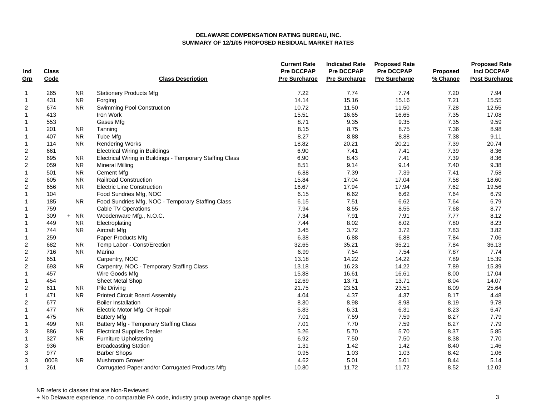| Ind                     | Class |           |                                                           | <b>Current Rate</b><br><b>Pre DCCPAP</b> | <b>Indicated Rate</b><br>Pre DCCPAP | <b>Proposed Rate</b><br><b>Pre DCCPAP</b> | Proposed | <b>Proposed Rate</b><br><b>Incl DCCPAP</b> |
|-------------------------|-------|-----------|-----------------------------------------------------------|------------------------------------------|-------------------------------------|-------------------------------------------|----------|--------------------------------------------|
| Grp                     | Code  |           | <b>Class Description</b>                                  | <b>Pre Surcharge</b>                     | <b>Pre Surcharge</b>                | <b>Pre Surcharge</b>                      | % Change | <b>Post Surcharge</b>                      |
| $\mathbf 1$             | 265   | <b>NR</b> | <b>Stationery Products Mfg</b>                            | 7.22                                     | 7.74                                | 7.74                                      | 7.20     | 7.94                                       |
| $\mathbf{1}$            | 431   | <b>NR</b> | Forging                                                   | 14.14                                    | 15.16                               | 15.16                                     | 7.21     | 15.55                                      |
| 2                       | 674   | NR.       | Swimming Pool Construction                                | 10.72                                    | 11.50                               | 11.50                                     | 7.28     | 12.55                                      |
| $\mathbf{1}$            | 413   |           | Iron Work                                                 | 15.51                                    | 16.65                               | 16.65                                     | 7.35     | 17.08                                      |
| $\mathbf{1}$            | 553   |           | Gases Mfg                                                 | 8.71                                     | 9.35                                | 9.35                                      | 7.35     | 9.59                                       |
| $\mathbf{1}$            | 201   | <b>NR</b> | Tanning                                                   | 8.15                                     | 8.75                                | 8.75                                      | 7.36     | 8.98                                       |
| $\overline{\mathbf{1}}$ | 407   | <b>NR</b> | Tube Mfg                                                  | 8.27                                     | 8.88                                | 8.88                                      | 7.38     | 9.11                                       |
| $\mathbf 1$             | 114   | <b>NR</b> | <b>Rendering Works</b>                                    | 18.82                                    | 20.21                               | 20.21                                     | 7.39     | 20.74                                      |
| $\overline{2}$          | 661   |           | <b>Electrical Wiring in Buildings</b>                     | 6.90                                     | 7.41                                | 7.41                                      | 7.39     | 8.36                                       |
| $\sqrt{2}$              | 695   | <b>NR</b> | Electrical Wiring in Buildings - Temporary Staffing Class | 6.90                                     | 8.43                                | 7.41                                      | 7.39     | 8.36                                       |
| $\sqrt{2}$              | 059   | <b>NR</b> | <b>Mineral Milling</b>                                    | 8.51                                     | 9.14                                | 9.14                                      | 7.40     | 9.38                                       |
| $\mathbf{1}$            | 501   | <b>NR</b> | <b>Cement Mfg</b>                                         | 6.88                                     | 7.39                                | 7.39                                      | 7.41     | 7.58                                       |
| $\overline{2}$          | 605   | <b>NR</b> | <b>Railroad Construction</b>                              | 15.84                                    | 17.04                               | 17.04                                     | 7.58     | 18.60                                      |
| $\overline{2}$          | 656   | <b>NR</b> | <b>Electric Line Construction</b>                         | 16.67                                    | 17.94                               | 17.94                                     | 7.62     | 19.56                                      |
| $\mathbf{1}$            | 104   |           | Food Sundries Mfg, NOC                                    | 6.15                                     | 6.62                                | 6.62                                      | 7.64     | 6.79                                       |
| $\mathbf{1}$            | 185   | <b>NR</b> | Food Sundries Mfg, NOC - Temporary Staffing Class         | 6.15                                     | 7.51                                | 6.62                                      | 7.64     | 6.79                                       |
| $\mathbf{1}$            | 759   |           | Cable TV Operations                                       | 7.94                                     | 8.55                                | 8.55                                      | 7.68     | 8.77                                       |
| $\mathbf 1$             | 309   | $+ NR$    | Woodenware Mfg., N.O.C.                                   | 7.34                                     | 7.91                                | 7.91                                      | 7.77     | 8.12                                       |
| $\mathbf{1}$            | 449   | <b>NR</b> | Electroplating                                            | 7.44                                     | 8.02                                | 8.02                                      | 7.80     | 8.23                                       |
| $\mathbf 1$             | 744   | <b>NR</b> | Aircraft Mfg                                              | 3.45                                     | 3.72                                | 3.72                                      | 7.83     | 3.82                                       |
| $\mathbf{1}$            | 259   |           | Paper Products Mfg                                        | 6.38                                     | 6.88                                | 6.88                                      | 7.84     | 7.06                                       |
| $\sqrt{2}$              | 682   | <b>NR</b> | Temp Labor - Const/Erection                               | 32.65                                    | 35.21                               | 35.21                                     | 7.84     | 36.13                                      |
| $\sqrt{2}$              | 716   | <b>NR</b> | Marina                                                    | 6.99                                     | 7.54                                | 7.54                                      | 7.87     | 7.74                                       |
| $\sqrt{2}$              | 651   |           | Carpentry, NOC                                            | 13.18                                    | 14.22                               | 14.22                                     | 7.89     | 15.39                                      |
| $\sqrt{2}$              | 693   | <b>NR</b> | Carpentry, NOC - Temporary Staffing Class                 | 13.18                                    | 16.23                               | 14.22                                     | 7.89     | 15.39                                      |
| $\mathbf{1}$            | 457   |           | Wire Goods Mfg                                            | 15.38                                    | 16.61                               | 16.61                                     | 8.00     | 17.04                                      |
| $\mathbf{1}$            | 454   |           | Sheet Metal Shop                                          | 12.69                                    | 13.71                               | 13.71                                     | 8.04     | 14.07                                      |
| $\overline{c}$          | 611   | <b>NR</b> | Pile Driving                                              | 21.75                                    | 23.51                               | 23.51                                     | 8.09     | 25.64                                      |
| $\mathbf{1}$            | 471   | <b>NR</b> | <b>Printed Circuit Board Assembly</b>                     | 4.04                                     | 4.37                                | 4.37                                      | 8.17     | 4.48                                       |
| $\overline{2}$          | 677   |           | <b>Boiler Installation</b>                                | 8.30                                     | 8.98                                | 8.98                                      | 8.19     | 9.78                                       |
| $\mathbf{1}$            | 477   | NR.       | Electric Motor Mfg. Or Repair                             | 5.83                                     | 6.31                                | 6.31                                      | 8.23     | 6.47                                       |
| $\mathbf{1}$            | 475   |           | <b>Battery Mfg</b>                                        | 7.01                                     | 7.59                                | 7.59                                      | 8.27     | 7.79                                       |
| $\mathbf 1$             | 499   | NR.       | Battery Mfg - Temporary Staffing Class                    | 7.01                                     | 7.70                                | 7.59                                      | 8.27     | 7.79                                       |
| 3                       | 886   | <b>NR</b> | <b>Electrical Supplies Dealer</b>                         | 5.26                                     | 5.70                                | 5.70                                      | 8.37     | 5.85                                       |
| $\mathbf{1}$            | 327   | <b>NR</b> | <b>Furniture Upholstering</b>                             | 6.92                                     | 7.50                                | 7.50                                      | 8.38     | 7.70                                       |
| 3                       | 936   |           | <b>Broadcasting Station</b>                               | 1.31                                     | 1.42                                | 1.42                                      | 8.40     | 1.46                                       |
| 3                       | 977   |           | <b>Barber Shops</b>                                       | 0.95                                     | 1.03                                | 1.03                                      | 8.42     | 1.06                                       |
| 3                       | 0008  | <b>NR</b> | Mushroom Grower                                           | 4.62                                     | 5.01                                | 5.01                                      | 8.44     | 5.14                                       |
| $\mathbf{1}$            | 261   |           | Corrugated Paper and/or Corrugated Products Mfg           | 10.80                                    | 11.72                               | 11.72                                     | 8.52     | 12.02                                      |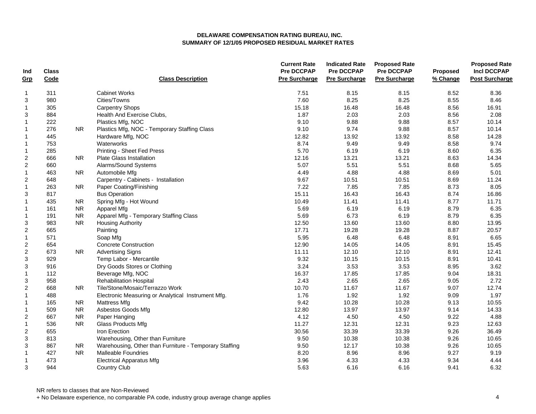| Ind                       | <b>Class</b> |           |                                                        | <b>Current Rate</b><br><b>Pre DCCPAP</b> | <b>Indicated Rate</b><br>Pre DCCPAP | <b>Proposed Rate</b><br><b>Pre DCCPAP</b> | Proposed | <b>Proposed Rate</b><br><b>Incl DCCPAP</b> |
|---------------------------|--------------|-----------|--------------------------------------------------------|------------------------------------------|-------------------------------------|-------------------------------------------|----------|--------------------------------------------|
| Grp                       | Code         |           | <b>Class Description</b>                               | <b>Pre Surcharge</b>                     | <b>Pre Surcharge</b>                | <b>Pre Surcharge</b>                      | % Change | <b>Post Surcharge</b>                      |
| $\mathbf 1$               | 311          |           | <b>Cabinet Works</b>                                   | 7.51                                     | 8.15                                | 8.15                                      | 8.52     | 8.36                                       |
| 3                         | 980          |           | Cities/Towns                                           | 7.60                                     | 8.25                                | 8.25                                      | 8.55     | 8.46                                       |
| $\mathbf{1}$              | 305          |           | <b>Carpentry Shops</b>                                 | 15.18                                    | 16.48                               | 16.48                                     | 8.56     | 16.91                                      |
| 3                         | 884          |           | Health And Exercise Clubs,                             | 1.87                                     | 2.03                                | 2.03                                      | 8.56     | 2.08                                       |
| $\mathbf{1}$              | 222          |           | Plastics Mfg, NOC                                      | 9.10                                     | 9.88                                | 9.88                                      | 8.57     | 10.14                                      |
| $\mathbf{1}$              | 276          | <b>NR</b> | Plastics Mfg, NOC - Temporary Staffing Class           | 9.10                                     | 9.74                                | 9.88                                      | 8.57     | 10.14                                      |
| $\overline{\mathbf{1}}$   | 445          |           | Hardware Mfg, NOC                                      | 12.82                                    | 13.92                               | 13.92                                     | 8.58     | 14.28                                      |
| $\mathbf 1$               | 753          |           | Waterworks                                             | 8.74                                     | 9.49                                | 9.49                                      | 8.58     | 9.74                                       |
| $\mathbf{1}$              | 285          |           | Printing - Sheet Fed Press                             | 5.70                                     | 6.19                                | 6.19                                      | 8.60     | 6.35                                       |
| $\overline{c}$            | 666          | <b>NR</b> | <b>Plate Glass Installation</b>                        | 12.16                                    | 13.21                               | 13.21                                     | 8.63     | 14.34                                      |
| $\sqrt{2}$                | 660          |           | Alarms/Sound Systems                                   | 5.07                                     | 5.51                                | 5.51                                      | 8.68     | 5.65                                       |
| $\mathbf{1}$              | 463          | NR.       | Automobile Mfg                                         | 4.49                                     | 4.88                                | 4.88                                      | 8.69     | 5.01                                       |
| $\overline{2}$            | 648          |           | Carpentry - Cabinets - Installation                    | 9.67                                     | 10.51                               | 10.51                                     | 8.69     | 11.24                                      |
| $\mathbf{1}$              | 263          | NR.       | Paper Coating/Finishing                                | 7.22                                     | 7.85                                | 7.85                                      | 8.73     | 8.05                                       |
| 3                         | 817          |           | <b>Bus Operation</b>                                   | 15.11                                    | 16.43                               | 16.43                                     | 8.74     | 16.86                                      |
| $\mathbf{1}$              | 435          | NR.       | Spring Mfg - Hot Wound                                 | 10.49                                    | 11.41                               | 11.41                                     | 8.77     | 11.71                                      |
| $\mathbf{1}$              | 161          | <b>NR</b> | Apparel Mfg                                            | 5.69                                     | 6.19                                | 6.19                                      | 8.79     | 6.35                                       |
| $\mathbf{1}$              | 191          | <b>NR</b> | Apparel Mfg - Temporary Staffing Class                 | 5.69                                     | 6.73                                | 6.19                                      | 8.79     | 6.35                                       |
| 3                         | 983          | <b>NR</b> | <b>Housing Authority</b>                               | 12.50                                    | 13.60                               | 13.60                                     | 8.80     | 13.95                                      |
| $\boldsymbol{2}$          | 665          |           | Painting                                               | 17.71                                    | 19.28                               | 19.28                                     | 8.87     | 20.57                                      |
| $\mathbf{1}$              | 571          |           | Soap Mfg                                               | 5.95                                     | 6.48                                | 6.48                                      | 8.91     | 6.65                                       |
| $\sqrt{2}$                | 654          |           | <b>Concrete Construction</b>                           | 12.90                                    | 14.05                               | 14.05                                     | 8.91     | 15.45                                      |
| $\sqrt{2}$                | 673          | <b>NR</b> | <b>Advertising Signs</b>                               | 11.11                                    | 12.10                               | 12.10                                     | 8.91     | 12.41                                      |
| 3                         | 929          |           | Temp Labor - Mercantile                                | 9.32                                     | 10.15                               | 10.15                                     | 8.91     | 10.41                                      |
| $\ensuremath{\mathsf{3}}$ | 916          |           | Dry Goods Stores or Clothing                           | 3.24                                     | 3.53                                | 3.53                                      | 8.95     | 3.62                                       |
| $\mathbf{1}$              | 112          |           | Beverage Mfg, NOC                                      | 16.37                                    | 17.85                               | 17.85                                     | 9.04     | 18.31                                      |
| 3                         | 958          |           | <b>Rehabilitation Hospital</b>                         | 2.43                                     | 2.65                                | 2.65                                      | 9.05     | 2.72                                       |
| $\sqrt{2}$                | 668          | NR.       | Tile/Stone/Mosaic/Terrazzo Work                        | 10.70                                    | 11.67                               | 11.67                                     | 9.07     | 12.74                                      |
| $\mathbf 1$               | 488          |           | Electronic Measuring or Analytical Instrument Mfg.     | 1.76                                     | 1.92                                | 1.92                                      | 9.09     | 1.97                                       |
| $\mathbf 1$               | 165          | NR.       | <b>Mattress Mfg</b>                                    | 9.42                                     | 10.28                               | 10.28                                     | 9.13     | 10.55                                      |
| $\mathbf{1}$              | 509          | <b>NR</b> | Asbestos Goods Mfg                                     | 12.80                                    | 13.97                               | 13.97                                     | 9.14     | 14.33                                      |
| $\overline{2}$            | 667          | <b>NR</b> | Paper Hanging                                          | 4.12                                     | 4.50                                | 4.50                                      | 9.22     | 4.88                                       |
| $\mathbf{1}$              | 536          | <b>NR</b> | <b>Glass Products Mfg</b>                              | 11.27                                    | 12.31                               | 12.31                                     | 9.23     | 12.63                                      |
| $\overline{2}$            | 655          |           | Iron Erection                                          | 30.56                                    | 33.39                               | 33.39                                     | 9.26     | 36.49                                      |
| 3                         | 813          |           | Warehousing, Other than Furniture                      | 9.50                                     | 10.38                               | 10.38                                     | 9.26     | 10.65                                      |
| 3                         | 867          | <b>NR</b> | Warehousing, Other than Furniture - Temporary Staffing | 9.50                                     | 12.17                               | 10.38                                     | 9.26     | 10.65                                      |
| $\mathbf 1$               | 427          | <b>NR</b> | <b>Malleable Foundries</b>                             | 8.20                                     | 8.96                                | 8.96                                      | 9.27     | 9.19                                       |
| $\mathbf{1}$              | 473          |           | <b>Electrical Apparatus Mfg</b>                        | 3.96                                     | 4.33                                | 4.33                                      | 9.34     | 4.44                                       |
| 3                         | 944          |           | <b>Country Club</b>                                    | 5.63                                     | 6.16                                | 6.16                                      | 9.41     | 6.32                                       |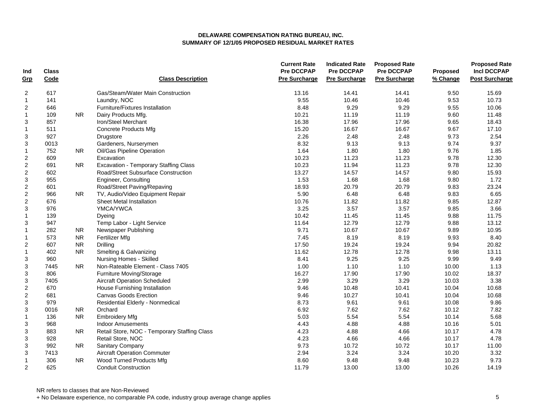| Ind                       | <b>Class</b> |           |                                              | <b>Current Rate</b><br><b>Pre DCCPAP</b> | <b>Indicated Rate</b><br><b>Pre DCCPAP</b> | <b>Proposed Rate</b><br><b>Pre DCCPAP</b> | Proposed | <b>Proposed Rate</b><br><b>Incl DCCPAP</b> |
|---------------------------|--------------|-----------|----------------------------------------------|------------------------------------------|--------------------------------------------|-------------------------------------------|----------|--------------------------------------------|
| Grp                       | Code         |           | <b>Class Description</b>                     | <b>Pre Surcharge</b>                     | <b>Pre Surcharge</b>                       | <b>Pre Surcharge</b>                      | % Change | <b>Post Surcharge</b>                      |
| $\boldsymbol{2}$          | 617          |           | Gas/Steam/Water Main Construction            | 13.16                                    | 14.41                                      | 14.41                                     | 9.50     | 15.69                                      |
| $\mathbf 1$               | 141          |           | Laundry, NOC                                 | 9.55                                     | 10.46                                      | 10.46                                     | 9.53     | 10.73                                      |
| $\overline{2}$            | 646          |           | Furniture/Fixtures Installation              | 8.48                                     | 9.29                                       | 9.29                                      | 9.55     | 10.06                                      |
| $\mathbf{1}$              | 109          | <b>NR</b> | Dairy Products Mfg.                          | 10.21                                    | 11.19                                      | 11.19                                     | 9.60     | 11.48                                      |
| 3                         | 857          |           | Iron/Steel Merchant                          | 16.38                                    | 17.96                                      | 17.96                                     | 9.65     | 18.43                                      |
| $\mathbf{1}$              | 511          |           | <b>Concrete Products Mfg</b>                 | 15.20                                    | 16.67                                      | 16.67                                     | 9.67     | 17.10                                      |
| 3                         | 927          |           | Drugstore                                    | 2.26                                     | 2.48                                       | 2.48                                      | 9.73     | 2.54                                       |
| 3                         | 0013         |           | Gardeners, Nurserymen                        | 8.32                                     | 9.13                                       | 9.13                                      | 9.74     | 9.37                                       |
| $\mathbf{1}$              | 752          | <b>NR</b> | Oil/Gas Pipeline Operation                   | 1.64                                     | 1.80                                       | 1.80                                      | 9.76     | 1.85                                       |
| $\overline{\mathbf{c}}$   | 609          |           | Excavation                                   | 10.23                                    | 11.23                                      | 11.23                                     | 9.78     | 12.30                                      |
| $\boldsymbol{2}$          | 691          | <b>NR</b> | <b>Excavation - Temporary Staffing Class</b> | 10.23                                    | 11.94                                      | 11.23                                     | 9.78     | 12.30                                      |
| $\boldsymbol{2}$          | 602          |           | Road/Street Subsurface Construction          | 13.27                                    | 14.57                                      | 14.57                                     | 9.80     | 15.93                                      |
| 3                         | 955          |           | Engineer, Consulting                         | 1.53                                     | 1.68                                       | 1.68                                      | 9.80     | 1.72                                       |
| $\overline{2}$            | 601          |           | Road/Street Paving/Repaving                  | 18.93                                    | 20.79                                      | 20.79                                     | 9.83     | 23.24                                      |
| $\overline{c}$            | 966          | NR.       | TV, Audio/Video Equipment Repair             | 5.90                                     | 6.48                                       | 6.48                                      | 9.83     | 6.65                                       |
| $\overline{c}$            | 676          |           | <b>Sheet Metal Installation</b>              | 10.76                                    | 11.82                                      | 11.82                                     | 9.85     | 12.87                                      |
| 3                         | 976          |           | YMCA/YWCA                                    | 3.25                                     | 3.57                                       | 3.57                                      | 9.85     | 3.66                                       |
| $\mathbf{1}$              | 139          |           | Dyeing                                       | 10.42                                    | 11.45                                      | 11.45                                     | 9.88     | 11.75                                      |
| 3                         | 947          |           | Temp Labor - Light Service                   | 11.64                                    | 12.79                                      | 12.79                                     | 9.88     | 13.12                                      |
| $\mathbf{1}$              | 282          | NR.       | Newspaper Publishing                         | 9.71                                     | 10.67                                      | 10.67                                     | 9.89     | 10.95                                      |
| $\mathbf{1}$              | 573          | <b>NR</b> | Fertilizer Mfg                               | 7.45                                     | 8.19                                       | 8.19                                      | 9.93     | 8.40                                       |
| $\overline{\mathbf{c}}$   | 607          | <b>NR</b> | Drilling                                     | 17.50                                    | 19.24                                      | 19.24                                     | 9.94     | 20.82                                      |
| $\mathbf{1}$              | 402          | <b>NR</b> | Smelting & Galvanizing                       | 11.62                                    | 12.78                                      | 12.78                                     | 9.98     | 13.11                                      |
| 3                         | 960          |           | Nursing Homes - Skilled                      | 8.41                                     | 9.25                                       | 9.25                                      | 9.99     | 9.49                                       |
| 3                         | 7445         | <b>NR</b> | Non-Rateable Element - Class 7405            | 1.00                                     | 1.10                                       | 1.10                                      | 10.00    | 1.13                                       |
| 3                         | 806          |           | Furniture Moving/Storage                     | 16.27                                    | 17.90                                      | 17.90                                     | 10.02    | 18.37                                      |
| 3                         | 7405         |           | <b>Aircraft Operation Scheduled</b>          | 2.99                                     | 3.29                                       | 3.29                                      | 10.03    | 3.38                                       |
| $\boldsymbol{2}$          | 670          |           | House Furnishing Installation                | 9.46                                     | 10.48                                      | 10.41                                     | 10.04    | 10.68                                      |
| $\overline{c}$            | 681          |           | <b>Canvas Goods Erection</b>                 | 9.46                                     | 10.27                                      | 10.41                                     | 10.04    | 10.68                                      |
| 3                         | 979          |           | Residential Elderly - Nonmedical             | 8.73                                     | 9.61                                       | 9.61                                      | 10.08    | 9.86                                       |
| $\ensuremath{\mathsf{3}}$ | 0016         | <b>NR</b> | Orchard                                      | 6.92                                     | 7.62                                       | 7.62                                      | 10.12    | 7.82                                       |
| $\mathbf{1}$              | 136          | <b>NR</b> | <b>Embroidery Mfg</b>                        | 5.03                                     | 5.54                                       | 5.54                                      | 10.14    | 5.68                                       |
| 3                         | 968          |           | <b>Indoor Amusements</b>                     | 4.43                                     | 4.88                                       | 4.88                                      | 10.16    | 5.01                                       |
| 3                         | 883          | <b>NR</b> | Retail Store, NOC - Temporary Staffing Class | 4.23                                     | 4.88                                       | 4.66                                      | 10.17    | 4.78                                       |
| 3                         | 928          |           | Retail Store, NOC                            | 4.23                                     | 4.66                                       | 4.66                                      | 10.17    | 4.78                                       |
| 3                         | 992          | <b>NR</b> | Sanitary Company                             | 9.73                                     | 10.72                                      | 10.72                                     | 10.17    | 11.00                                      |
| 3                         | 7413         |           | <b>Aircraft Operation Commuter</b>           | 2.94                                     | 3.24                                       | 3.24                                      | 10.20    | 3.32                                       |
| $\mathbf{1}$              | 306          | <b>NR</b> | Wood Turned Products Mfg                     | 8.60                                     | 9.48                                       | 9.48                                      | 10.23    | 9.73                                       |
| 2                         | 625          |           | <b>Conduit Construction</b>                  | 11.79                                    | 13.00                                      | 13.00                                     | 10.26    | 14.19                                      |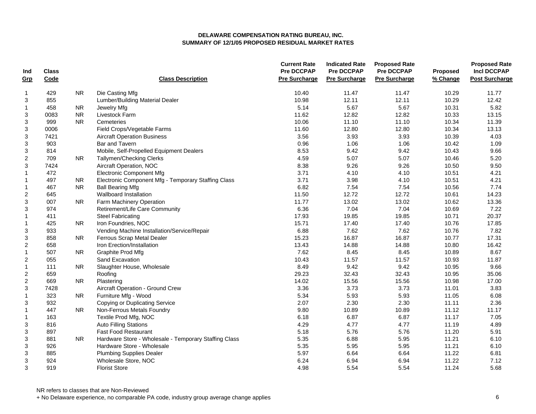| Ind                       | <b>Class</b> |            |                                                       | <b>Current Rate</b><br><b>Pre DCCPAP</b> | <b>Indicated Rate</b><br><b>Pre DCCPAP</b> | <b>Proposed Rate</b><br><b>Pre DCCPAP</b> | Proposed | <b>Proposed Rate</b><br><b>Incl DCCPAP</b> |
|---------------------------|--------------|------------|-------------------------------------------------------|------------------------------------------|--------------------------------------------|-------------------------------------------|----------|--------------------------------------------|
| Grp                       | Code         |            | <b>Class Description</b>                              | <b>Pre Surcharge</b>                     | <b>Pre Surcharge</b>                       | <b>Pre Surcharge</b>                      | % Change | <b>Post Surcharge</b>                      |
| 1                         | 429          | <b>NR</b>  | Die Casting Mfg                                       | 10.40                                    | 11.47                                      | 11.47                                     | 10.29    | 11.77                                      |
| 3                         | 855          |            | Lumber/Building Material Dealer                       | 10.98                                    | 12.11                                      | 12.11                                     | 10.29    | 12.42                                      |
| $\mathbf{1}$              | 458          | <b>NR</b>  | Jewelry Mfg                                           | 5.14                                     | 5.67                                       | 5.67                                      | 10.31    | 5.82                                       |
| 3                         | 0083         | ${\sf NR}$ | Livestock Farm                                        | 11.62                                    | 12.82                                      | 12.82                                     | 10.33    | 13.15                                      |
| 3                         | 999          | <b>NR</b>  | Cemeteries                                            | 10.06                                    | 11.10                                      | 11.10                                     | 10.34    | 11.39                                      |
| $\ensuremath{\mathsf{3}}$ | 0006         |            | Field Crops/Vegetable Farms                           | 11.60                                    | 12.80                                      | 12.80                                     | 10.34    | 13.13                                      |
| 3                         | 7421         |            | <b>Aircraft Operation Business</b>                    | 3.56                                     | 3.93                                       | 3.93                                      | 10.39    | 4.03                                       |
| 3                         | 903          |            | Bar and Tavern                                        | 0.96                                     | 1.06                                       | 1.06                                      | 10.42    | 1.09                                       |
| $\ensuremath{\mathsf{3}}$ | 814          |            | Mobile, Self-Propelled Equipment Dealers              | 8.53                                     | 9.42                                       | 9.42                                      | 10.43    | 9.66                                       |
| $\boldsymbol{2}$          | 709          | <b>NR</b>  | Tallymen/Checking Clerks                              | 4.59                                     | 5.07                                       | 5.07                                      | 10.46    | 5.20                                       |
| $\ensuremath{\mathsf{3}}$ | 7424         |            | Aircraft Operation, NOC                               | 8.38                                     | 9.26                                       | 9.26                                      | 10.50    | 9.50                                       |
| $\mathbf{1}$              | 472          |            | <b>Electronic Component Mfg</b>                       | 3.71                                     | 4.10                                       | 4.10                                      | 10.51    | 4.21                                       |
| $\mathbf{1}$              | 497          | <b>NR</b>  | Electronic Component Mfg - Temporary Staffing Class   | 3.71                                     | 3.98                                       | 4.10                                      | 10.51    | 4.21                                       |
| $\mathbf{1}$              | 467          | <b>NR</b>  | <b>Ball Bearing Mfg</b>                               | 6.82                                     | 7.54                                       | 7.54                                      | 10.56    | 7.74                                       |
| $\overline{\mathbf{c}}$   | 645          |            | Wallboard Installation                                | 11.50                                    | 12.72                                      | 12.72                                     | 10.61    | 14.23                                      |
| 3                         | 007          | NR.        | Farm Machinery Operation                              | 11.77                                    | 13.02                                      | 13.02                                     | 10.62    | 13.36                                      |
| 3                         | 974          |            | Retirement/Life Care Community                        | 6.36                                     | 7.04                                       | 7.04                                      | 10.69    | 7.22                                       |
| $\mathbf{1}$              | 411          |            | <b>Steel Fabricating</b>                              | 17.93                                    | 19.85                                      | 19.85                                     | 10.71    | 20.37                                      |
| $\mathbf{1}$              | 425          | NR.        | Iron Foundries, NOC                                   | 15.71                                    | 17.40                                      | 17.40                                     | 10.76    | 17.85                                      |
| 3                         | 933          |            | Vending Machine Installation/Service/Repair           | 6.88                                     | 7.62                                       | 7.62                                      | 10.76    | 7.82                                       |
| 3                         | 858          | <b>NR</b>  | Ferrous Scrap Metal Dealer                            | 15.23                                    | 16.87                                      | 16.87                                     | 10.77    | 17.31                                      |
| $\mathbf 2$               | 658          |            | Iron Erection/Installation                            | 13.43                                    | 14.88                                      | 14.88                                     | 10.80    | 16.42                                      |
| $\mathbf{1}$              | 507          | <b>NR</b>  | Graphite Prod Mfg                                     | 7.62                                     | 8.45                                       | 8.45                                      | 10.89    | 8.67                                       |
| $\overline{\mathbf{c}}$   | 055          |            | Sand Excavation                                       | 10.43                                    | 11.57                                      | 11.57                                     | 10.93    | 11.87                                      |
| $\mathbf{1}$              | 111          | ${\sf NR}$ | Slaughter House, Wholesale                            | 8.49                                     | 9.42                                       | 9.42                                      | 10.95    | 9.66                                       |
| $\boldsymbol{2}$          | 659          |            | Roofing                                               | 29.23                                    | 32.43                                      | 32.43                                     | 10.95    | 35.06                                      |
| $\overline{2}$            | 669          | <b>NR</b>  | Plastering                                            | 14.02                                    | 15.56                                      | 15.56                                     | 10.98    | 17.00                                      |
| 3                         | 7428         |            | Aircraft Operation - Ground Crew                      | 3.36                                     | 3.73                                       | 3.73                                      | 11.01    | 3.83                                       |
| $\mathbf{1}$              | 323          | <b>NR</b>  | Furniture Mfg - Wood                                  | 5.34                                     | 5.93                                       | 5.93                                      | 11.05    | 6.08                                       |
| 3                         | 932          |            | <b>Copying or Duplicating Service</b>                 | 2.07                                     | 2.30                                       | 2.30                                      | 11.11    | 2.36                                       |
| $\mathbf 1$               | 447          | <b>NR</b>  | Non-Ferrous Metals Foundry                            | 9.80                                     | 10.89                                      | 10.89                                     | 11.12    | 11.17                                      |
| $\mathbf{1}$              | 163          |            | Textile Prod Mfg, NOC                                 | 6.18                                     | 6.87                                       | 6.87                                      | 11.17    | 7.05                                       |
| 3                         | 816          |            | <b>Auto Filling Stations</b>                          | 4.29                                     | 4.77                                       | 4.77                                      | 11.19    | 4.89                                       |
| 3                         | 897          |            | <b>Fast Food Restaurant</b>                           | 5.18                                     | 5.76                                       | 5.76                                      | 11.20    | 5.91                                       |
| 3                         | 881          | <b>NR</b>  | Hardware Store - Wholesale - Temporary Staffing Class | 5.35                                     | 6.88                                       | 5.95                                      | 11.21    | 6.10                                       |
| 3                         | 926          |            | Hardware Store - Wholesale                            | 5.35                                     | 5.95                                       | 5.95                                      | 11.21    | 6.10                                       |
| $\ensuremath{\mathsf{3}}$ | 885          |            | <b>Plumbing Supplies Dealer</b>                       | 5.97                                     | 6.64                                       | 6.64                                      | 11.22    | 6.81                                       |
| 3                         | 924          |            | Wholesale Store, NOC                                  | 6.24                                     | 6.94                                       | 6.94                                      | 11.22    | 7.12                                       |
| 3                         | 919          |            | <b>Florist Store</b>                                  | 4.98                                     | 5.54                                       | 5.54                                      | 11.24    | 5.68                                       |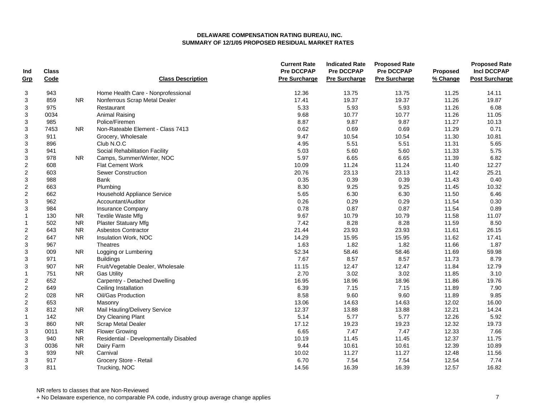| Ind              | <b>Class</b> |            |                                        | <b>Current Rate</b><br><b>Pre DCCPAP</b> | <b>Indicated Rate</b><br><b>Pre DCCPAP</b> | <b>Proposed Rate</b><br><b>Pre DCCPAP</b> | Proposed | <b>Proposed Rate</b><br><b>Incl DCCPAP</b> |
|------------------|--------------|------------|----------------------------------------|------------------------------------------|--------------------------------------------|-------------------------------------------|----------|--------------------------------------------|
| Grp              | Code         |            | <b>Class Description</b>               | <b>Pre Surcharge</b>                     | <b>Pre Surcharge</b>                       | <b>Pre Surcharge</b>                      | % Change | <b>Post Surcharge</b>                      |
| 3                | 943          |            | Home Health Care - Nonprofessional     | 12.36                                    | 13.75                                      | 13.75                                     | 11.25    | 14.11                                      |
| 3                | 859          | ${\sf NR}$ | Nonferrous Scrap Metal Dealer          | 17.41                                    | 19.37                                      | 19.37                                     | 11.26    | 19.87                                      |
| 3                | 975          |            | Restaurant                             | 5.33                                     | 5.93                                       | 5.93                                      | 11.26    | 6.08                                       |
| 3                | 0034         |            | Animal Raising                         | 9.68                                     | 10.77                                      | 10.77                                     | 11.26    | 11.05                                      |
| 3                | 985          |            | Police/Firemen                         | 8.87                                     | 9.87                                       | 9.87                                      | 11.27    | 10.13                                      |
| 3                | 7453         | <b>NR</b>  | Non-Rateable Element - Class 7413      | 0.62                                     | 0.69                                       | 0.69                                      | 11.29    | 0.71                                       |
| 3                | 911          |            | Grocery, Wholesale                     | 9.47                                     | 10.54                                      | 10.54                                     | 11.30    | 10.81                                      |
| 3                | 896          |            | Club N.O.C                             | 4.95                                     | 5.51                                       | 5.51                                      | 11.31    | 5.65                                       |
| 3                | 941          |            | Social Rehabilitation Facility         | 5.03                                     | 5.60                                       | 5.60                                      | 11.33    | 5.75                                       |
| 3                | 978          | <b>NR</b>  | Camps, Summer/Winter, NOC              | 5.97                                     | 6.65                                       | 6.65                                      | 11.39    | 6.82                                       |
| $\overline{c}$   | 608          |            | <b>Flat Cement Work</b>                | 10.09                                    | 11.24                                      | 11.24                                     | 11.40    | 12.27                                      |
| $\boldsymbol{2}$ | 603          |            | <b>Sewer Construction</b>              | 20.76                                    | 23.13                                      | 23.13                                     | 11.42    | 25.21                                      |
| 3                | 988          |            | <b>Bank</b>                            | 0.35                                     | 0.39                                       | 0.39                                      | 11.43    | 0.40                                       |
| $\boldsymbol{2}$ | 663          |            | Plumbing                               | 8.30                                     | 9.25                                       | 9.25                                      | 11.45    | 10.32                                      |
| $\overline{c}$   | 662          |            | Household Appliance Service            | 5.65                                     | 6.30                                       | 6.30                                      | 11.50    | 6.46                                       |
| 3                | 962          |            | Accountant/Auditor                     | 0.26                                     | 0.29                                       | 0.29                                      | 11.54    | 0.30                                       |
| 3                | 984          |            | Insurance Company                      | 0.78                                     | 0.87                                       | 0.87                                      | 11.54    | 0.89                                       |
| $\mathbf{1}$     | 130          | <b>NR</b>  | <b>Textile Waste Mfg</b>               | 9.67                                     | 10.79                                      | 10.79                                     | 11.58    | 11.07                                      |
| $\mathbf{1}$     | 502          | <b>NR</b>  | <b>Plaster Statuary Mfg</b>            | 7.42                                     | 8.28                                       | 8.28                                      | 11.59    | 8.50                                       |
| $\boldsymbol{2}$ | 643          | <b>NR</b>  | <b>Asbestos Contractor</b>             | 21.44                                    | 23.93                                      | 23.93                                     | 11.61    | 26.15                                      |
| $\boldsymbol{2}$ | 647          | ${\sf NR}$ | Insulation Work, NOC                   | 14.29                                    | 15.95                                      | 15.95                                     | 11.62    | 17.41                                      |
| 3                | 967          |            | Theatres                               | 1.63                                     | 1.82                                       | 1.82                                      | 11.66    | 1.87                                       |
| 3                | 009          | <b>NR</b>  | Logging or Lumbering                   | 52.34                                    | 58.46                                      | 58.46                                     | 11.69    | 59.98                                      |
| 3                | 971          |            | <b>Buildings</b>                       | 7.67                                     | 8.57                                       | 8.57                                      | 11.73    | 8.79                                       |
| 3                | 907          | <b>NR</b>  | Fruit/Vegetable Dealer, Wholesale      | 11.15                                    | 12.47                                      | 12.47                                     | 11.84    | 12.79                                      |
| $\mathbf{1}$     | 751          | <b>NR</b>  | <b>Gas Utility</b>                     | 2.70                                     | 3.02                                       | 3.02                                      | 11.85    | 3.10                                       |
| 2                | 652          |            | Carpentry - Detached Dwelling          | 16.95                                    | 18.96                                      | 18.96                                     | 11.86    | 19.76                                      |
| $\boldsymbol{2}$ | 649          |            | Ceiling Installation                   | 6.39                                     | 7.15                                       | 7.15                                      | 11.89    | 7.90                                       |
| $\overline{2}$   | 028          | <b>NR</b>  | Oil/Gas Production                     | 8.58                                     | 9.60                                       | 9.60                                      | 11.89    | 9.85                                       |
| $\overline{2}$   | 653          |            | Masonry                                | 13.06                                    | 14.63                                      | 14.63                                     | 12.02    | 16.00                                      |
| 3                | 812          | NR.        | Mail Hauling/Delivery Service          | 12.37                                    | 13.88                                      | 13.88                                     | 12.21    | 14.24                                      |
| $\mathbf{1}$     | 142          |            | Dry Cleaning Plant                     | 5.14                                     | 5.77                                       | 5.77                                      | 12.26    | 5.92                                       |
| 3                | 860          | NR.        | Scrap Metal Dealer                     | 17.12                                    | 19.23                                      | 19.23                                     | 12.32    | 19.73                                      |
| 3                | 0011         | ${\sf NR}$ | <b>Flower Growing</b>                  | 6.65                                     | 7.47                                       | 7.47                                      | 12.33    | 7.66                                       |
| 3                | 940          | ${\sf NR}$ | Residential - Developmentally Disabled | 10.19                                    | 11.45                                      | 11.45                                     | 12.37    | 11.75                                      |
| 3                | 0036         | <b>NR</b>  | Dairy Farm                             | 9.44                                     | 10.61                                      | 10.61                                     | 12.39    | 10.89                                      |
| 3                | 939          | <b>NR</b>  | Carnival                               | 10.02                                    | 11.27                                      | 11.27                                     | 12.48    | 11.56                                      |
| 3                | 917          |            | Grocery Store - Retail                 | 6.70                                     | 7.54                                       | 7.54                                      | 12.54    | 7.74                                       |
| 3                | 811          |            | Trucking, NOC                          | 14.56                                    | 16.39                                      | 16.39                                     | 12.57    | 16.82                                      |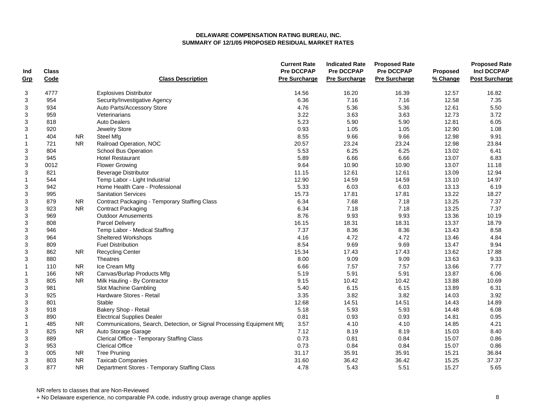| Ind                       | <b>Class</b> |           |                                                                       | <b>Current Rate</b><br><b>Pre DCCPAP</b> | <b>Indicated Rate</b><br><b>Pre DCCPAP</b> | <b>Proposed Rate</b><br><b>Pre DCCPAP</b> | Proposed | <b>Proposed Rate</b><br><b>Incl DCCPAP</b> |
|---------------------------|--------------|-----------|-----------------------------------------------------------------------|------------------------------------------|--------------------------------------------|-------------------------------------------|----------|--------------------------------------------|
| Grp                       | Code         |           | <b>Class Description</b>                                              | <b>Pre Surcharge</b>                     | <b>Pre Surcharge</b>                       | <b>Pre Surcharge</b>                      | % Change | <b>Post Surcharge</b>                      |
| 3                         | 4777         |           | <b>Explosives Distributor</b>                                         | 14.56                                    | 16.20                                      | 16.39                                     | 12.57    | 16.82                                      |
| $\mathsf 3$               | 954          |           | Security/Investigative Agency                                         | 6.36                                     | 7.16                                       | 7.16                                      | 12.58    | 7.35                                       |
| 3                         | 934          |           | Auto Parts/Accessory Store                                            | 4.76                                     | 5.36                                       | 5.36                                      | 12.61    | 5.50                                       |
| 3                         | 959          |           | Veterinarians                                                         | 3.22                                     | 3.63                                       | 3.63                                      | 12.73    | 3.72                                       |
| 3                         | 818          |           | <b>Auto Dealers</b>                                                   | 5.23                                     | 5.90                                       | 5.90                                      | 12.81    | 6.05                                       |
| $\mathsf 3$               | 920          |           | Jewelry Store                                                         | 0.93                                     | 1.05                                       | 1.05                                      | 12.90    | 1.08                                       |
| $\mathbf{1}$              | 404          | NR.       | Steel Mfg                                                             | 8.55                                     | 9.66                                       | 9.66                                      | 12.98    | 9.91                                       |
| $\mathbf{1}$              | 721          | <b>NR</b> | Railroad Operation, NOC                                               | 20.57                                    | 23.24                                      | 23.24                                     | 12.98    | 23.84                                      |
| 3                         | 804          |           | <b>School Bus Operation</b>                                           | 5.53                                     | 6.25                                       | 6.25                                      | 13.02    | 6.41                                       |
| 3                         | 945          |           | <b>Hotel Restaurant</b>                                               | 5.89                                     | 6.66                                       | 6.66                                      | 13.07    | 6.83                                       |
| $\mathfrak{S}$            | 0012         |           | <b>Flower Growing</b>                                                 | 9.64                                     | 10.90                                      | 10.90                                     | 13.07    | 11.18                                      |
| $\ensuremath{\mathsf{3}}$ | 821          |           | <b>Beverage Distributor</b>                                           | 11.15                                    | 12.61                                      | 12.61                                     | 13.09    | 12.94                                      |
| $\mathbf{1}$              | 544          |           | Temp Labor - Light Industrial                                         | 12.90                                    | 14.59                                      | 14.59                                     | 13.10    | 14.97                                      |
| 3                         | 942          |           | Home Health Care - Professional                                       | 5.33                                     | 6.03                                       | 6.03                                      | 13.13    | 6.19                                       |
| 3                         | 995          |           | <b>Sanitation Services</b>                                            | 15.73                                    | 17.81                                      | 17.81                                     | 13.22    | 18.27                                      |
| 3                         | 879          | NR.       | Contract Packaging - Temporary Staffing Class                         | 6.34                                     | 7.68                                       | 7.18                                      | 13.25    | 7.37                                       |
| 3                         | 923          | <b>NR</b> | <b>Contract Packaging</b>                                             | 6.34                                     | 7.18                                       | 7.18                                      | 13.25    | 7.37                                       |
| 3                         | 969          |           | <b>Outdoor Amusements</b>                                             | 8.76                                     | 9.93                                       | 9.93                                      | 13.36    | 10.19                                      |
| 3                         | 808          |           | Parcel Delivery                                                       | 16.15                                    | 18.31                                      | 18.31                                     | 13.37    | 18.79                                      |
| 3                         | 946          |           | Temp Labor - Medical Staffing                                         | 7.37                                     | 8.36                                       | 8.36                                      | 13.43    | 8.58                                       |
| $\mathsf 3$               | 964          |           | Sheltered Workshops                                                   | 4.16                                     | 4.72                                       | 4.72                                      | 13.46    | 4.84                                       |
| 3                         | 809          |           | <b>Fuel Distribution</b>                                              | 8.54                                     | 9.69                                       | 9.69                                      | 13.47    | 9.94                                       |
| 3                         | 862          | <b>NR</b> | <b>Recycling Center</b>                                               | 15.34                                    | 17.43                                      | 17.43                                     | 13.62    | 17.88                                      |
| 3                         | 880          |           | Theatres                                                              | 8.00                                     | 9.09                                       | 9.09                                      | 13.63    | 9.33                                       |
| $\mathbf{1}$              | 110          | <b>NR</b> | Ice Cream Mfg                                                         | 6.66                                     | 7.57                                       | 7.57                                      | 13.66    | 7.77                                       |
| $\mathbf{1}$              | 166          | NR.       | Canvas/Burlap Products Mfg                                            | 5.19                                     | 5.91                                       | 5.91                                      | 13.87    | 6.06                                       |
| 3                         | 805          | <b>NR</b> | Milk Hauling - By Contractor                                          | 9.15                                     | 10.42                                      | 10.42                                     | 13.88    | 10.69                                      |
| 3                         | 981          |           | Slot Machine Gambling                                                 | 5.40                                     | 6.15                                       | 6.15                                      | 13.89    | 6.31                                       |
| $\mathsf 3$               | 925          |           | Hardware Stores - Retail                                              | 3.35                                     | 3.82                                       | 3.82                                      | 14.03    | 3.92                                       |
| 3                         | 801          |           | Stable                                                                | 12.68                                    | 14.51                                      | 14.51                                     | 14.43    | 14.89                                      |
| $\ensuremath{\mathsf{3}}$ | 918          |           | Bakery Shop - Retail                                                  | 5.18                                     | 5.93                                       | 5.93                                      | 14.48    | 6.08                                       |
| 3                         | 890          |           | <b>Electrical Supplies Dealer</b>                                     | 0.81                                     | 0.93                                       | 0.93                                      | 14.81    | 0.95                                       |
| $\mathbf{1}$              | 485          | NR.       | Communications, Search, Detection, or Signal Processing Equipment Mfc | 3.57                                     | 4.10                                       | 4.10                                      | 14.85    | 4.21                                       |
| 3                         | 825          | <b>NR</b> | Auto Storage Garage                                                   | 7.12                                     | 8.19                                       | 8.19                                      | 15.03    | 8.40                                       |
| 3                         | 889          |           | Clerical Office - Temporary Staffing Class                            | 0.73                                     | 0.81                                       | 0.84                                      | 15.07    | 0.86                                       |
| 3                         | 953          |           | <b>Clerical Office</b>                                                | 0.73                                     | 0.84                                       | 0.84                                      | 15.07    | 0.86                                       |
| 3                         | 005          | NR.       | <b>Tree Pruning</b>                                                   | 31.17                                    | 35.91                                      | 35.91                                     | 15.21    | 36.84                                      |
| 3                         | 803          | <b>NR</b> | <b>Taxicab Companies</b>                                              | 31.60                                    | 36.42                                      | 36.42                                     | 15.25    | 37.37                                      |
| 3                         | 877          | <b>NR</b> | Department Stores - Temporary Staffing Class                          | 4.78                                     | 5.43                                       | 5.51                                      | 15.27    | 5.65                                       |